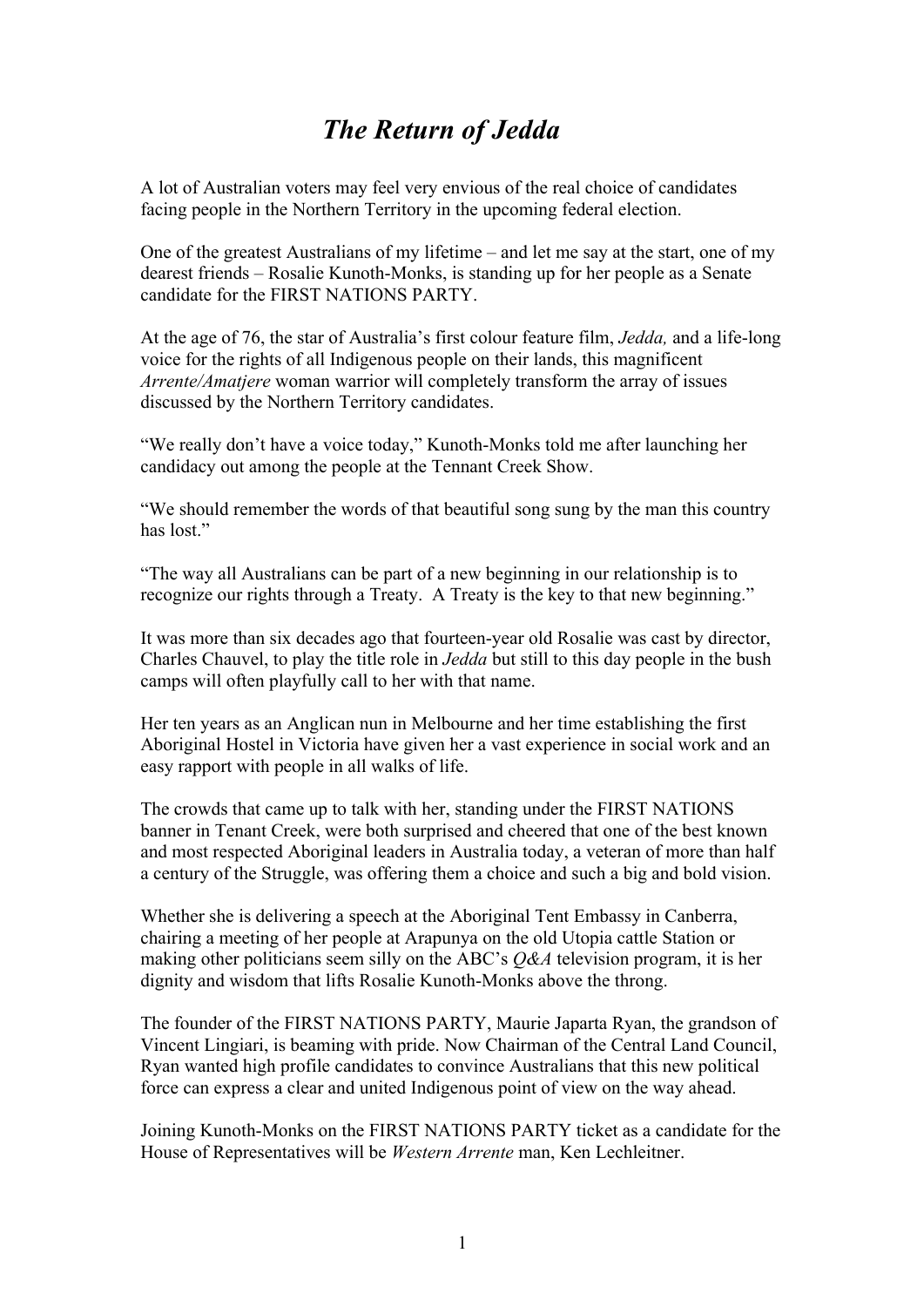## *The Return of Jedda*

A lot of Australian voters may feel very envious of the real choice of candidates facing people in the Northern Territory in the upcoming federal election.

One of the greatest Australians of my lifetime – and let me say at the start, one of my dearest friends – Rosalie Kunoth-Monks, is standing up for her people as a Senate candidate for the FIRST NATIONS PARTY.

At the age of 76, the star of Australia's first colour feature film, *Jedda,* and a life-long voice for the rights of all Indigenous people on their lands, this magnificent *Arrente/Amatjere* woman warrior will completely transform the array of issues discussed by the Northern Territory candidates.

"We really don't have a voice today," Kunoth-Monks told me after launching her candidacy out among the people at the Tennant Creek Show.

"We should remember the words of that beautiful song sung by the man this country has lost"

"The way all Australians can be part of a new beginning in our relationship is to recognize our rights through a Treaty. A Treaty is the key to that new beginning."

It was more than six decades ago that fourteen-year old Rosalie was cast by director, Charles Chauvel, to play the title role in *Jedda* but still to this day people in the bush camps will often playfully call to her with that name.

Her ten years as an Anglican nun in Melbourne and her time establishing the first Aboriginal Hostel in Victoria have given her a vast experience in social work and an easy rapport with people in all walks of life.

The crowds that came up to talk with her, standing under the FIRST NATIONS banner in Tenant Creek, were both surprised and cheered that one of the best known and most respected Aboriginal leaders in Australia today, a veteran of more than half a century of the Struggle, was offering them a choice and such a big and bold vision.

Whether she is delivering a speech at the Aboriginal Tent Embassy in Canberra, chairing a meeting of her people at Arapunya on the old Utopia cattle Station or making other politicians seem silly on the ABC's *Q&A* television program, it is her dignity and wisdom that lifts Rosalie Kunoth-Monks above the throng.

The founder of the FIRST NATIONS PARTY, Maurie Japarta Ryan, the grandson of Vincent Lingiari, is beaming with pride. Now Chairman of the Central Land Council, Ryan wanted high profile candidates to convince Australians that this new political force can express a clear and united Indigenous point of view on the way ahead.

Joining Kunoth-Monks on the FIRST NATIONS PARTY ticket as a candidate for the House of Representatives will be *Western Arrente* man, Ken Lechleitner.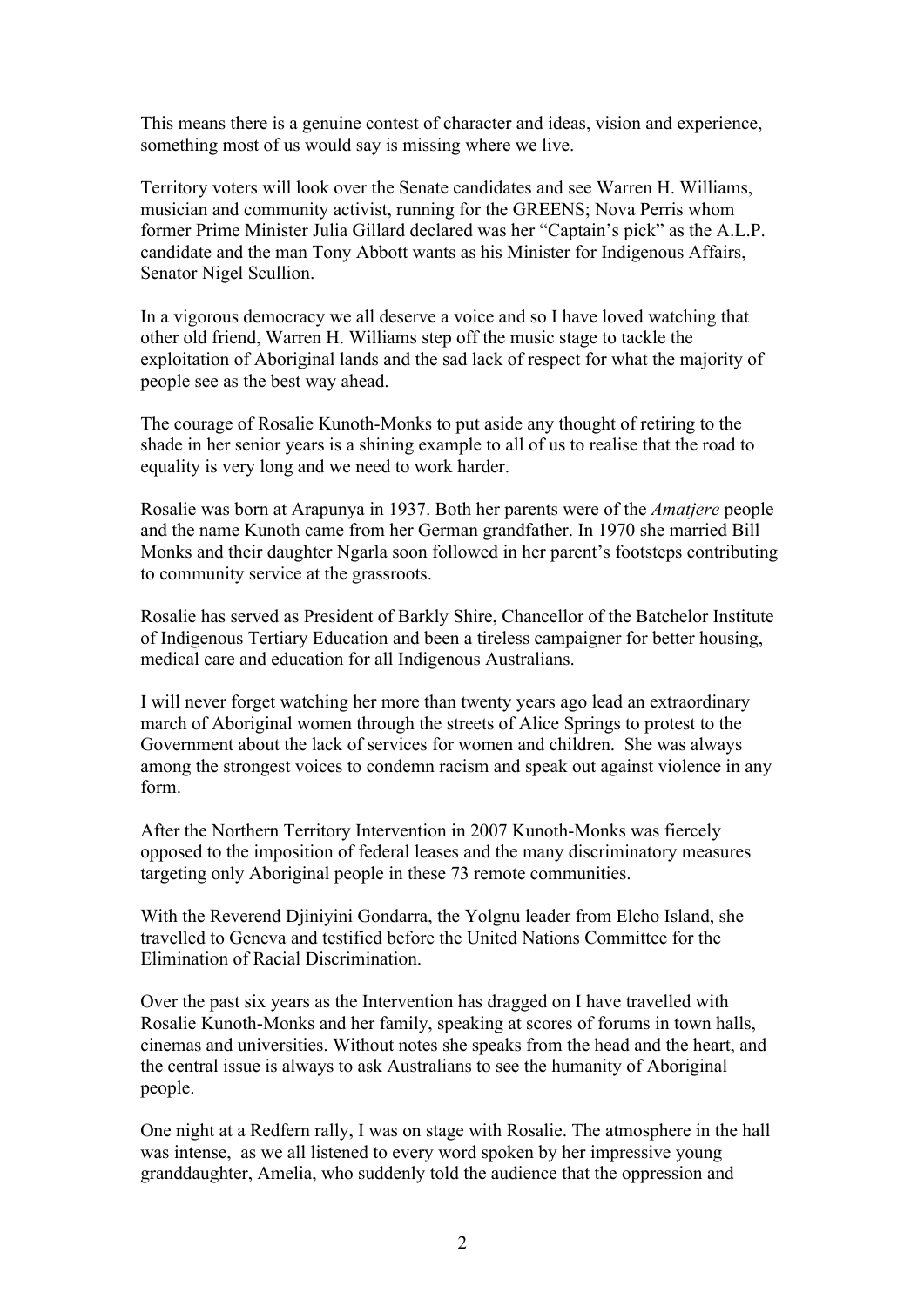This means there is a genuine contest of character and ideas, vision and experience, something most of us would say is missing where we live.

Territory voters will look over the Senate candidates and see Warren H. Williams, musician and community activist, running for the GREENS; Nova Perris whom former Prime Minister Julia Gillard declared was her "Captain's pick" as the A.L.P. candidate and the man Tony Abbott wants as his Minister for Indigenous Affairs, Senator Nigel Scullion.

In a vigorous democracy we all deserve a voice and so I have loved watching that other old friend, Warren H. Williams step off the music stage to tackle the exploitation of Aboriginal lands and the sad lack of respect for what the majority of people see as the best way ahead.

The courage of Rosalie Kunoth-Monks to put aside any thought of retiring to the shade in her senior years is a shining example to all of us to realise that the road to equality is very long and we need to work harder.

Rosalie was born at Arapunya in 1937. Both her parents were of the *Amatjere* people and the name Kunoth came from her German grandfather. In 1970 she married Bill Monks and their daughter Ngarla soon followed in her parent's footsteps contributing to community service at the grassroots.

Rosalie has served as President of Barkly Shire, Chancellor of the Batchelor Institute of Indigenous Tertiary Education and been a tireless campaigner for better housing, medical care and education for all Indigenous Australians.

I will never forget watching her more than twenty years ago lead an extraordinary march of Aboriginal women through the streets of Alice Springs to protest to the Government about the lack of services for women and children. She was always among the strongest voices to condemn racism and speak out against violence in any form.

After the Northern Territory Intervention in 2007 Kunoth-Monks was fiercely opposed to the imposition of federal leases and the many discriminatory measures targeting only Aboriginal people in these 73 remote communities.

With the Reverend Djiniyini Gondarra, the Yolgnu leader from Elcho Island, she travelled to Geneva and testified before the United Nations Committee for the Elimination of Racial Discrimination.

Over the past six years as the Intervention has dragged on I have travelled with Rosalie Kunoth-Monks and her family, speaking at scores of forums in town halls, cinemas and universities. Without notes she speaks from the head and the heart, and the central issue is always to ask Australians to see the humanity of Aboriginal people.

One night at a Redfern rally, I was on stage with Rosalie. The atmosphere in the hall was intense, as we all listened to every word spoken by her impressive young granddaughter, Amelia, who suddenly told the audience that the oppression and